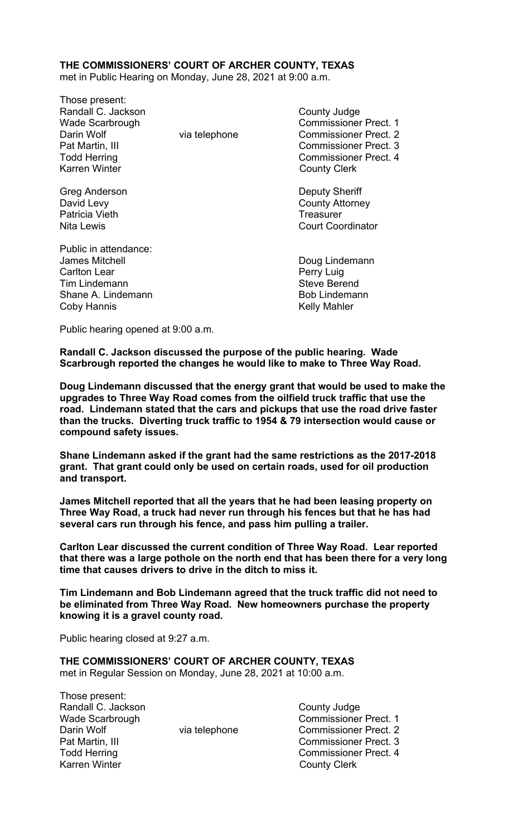#### **THE COMMISSIONERS' COURT OF ARCHER COUNTY, TEXAS**

met in Public Hearing on Monday, June 28, 2021 at 9:00 a.m.

Those present: Randall C. Jackson **County Judge County Judge** Wade Scarbrough Commissioner Prect. 1 Darin Wolf **Via telephone** Via telephone Commissioner Prect. 2 Pat Martin, III Commissioner Prect. 3 Todd Herring **Commissioner Prect.** 4 Karren Winter **County Clerk** 

Greg Anderson **Deputy Sheriff** Patricia Vieth **Treasurer Patricia Vieth** 

Public in attendance: James Mitchell **Doug Lindemann** Carlton Lear Perry Luig Tim Lindemann Shane A. Lindemann and Bob Lindemann Bob Lindemann Coby Hannis **Coby Hannis** 

David Levy **County Attorney** Nita Lewis Court Coordinator

Public hearing opened at 9:00 a.m.

**Randall C. Jackson discussed the purpose of the public hearing. Wade Scarbrough reported the changes he would like to make to Three Way Road.** 

**Doug Lindemann discussed that the energy grant that would be used to make the upgrades to Three Way Road comes from the oilfield truck traffic that use the road. Lindemann stated that the cars and pickups that use the road drive faster than the trucks. Diverting truck traffic to 1954 & 79 intersection would cause or compound safety issues.** 

**Shane Lindemann asked if the grant had the same restrictions as the 2017-2018 grant. That grant could only be used on certain roads, used for oil production and transport.** 

**James Mitchell reported that all the years that he had been leasing property on Three Way Road, a truck had never run through his fences but that he has had several cars run through his fence, and pass him pulling a trailer.** 

**Carlton Lear discussed the current condition of Three Way Road. Lear reported that there was a large pothole on the north end that has been there for a very long time that causes drivers to drive in the ditch to miss it.** 

**Tim Lindemann and Bob Lindemann agreed that the truck traffic did not need to be eliminated from Three Way Road. New homeowners purchase the property knowing it is a gravel county road.** 

Public hearing closed at 9:27 a.m.

**THE COMMISSIONERS' COURT OF ARCHER COUNTY, TEXAS**  met in Regular Session on Monday, June 28, 2021 at 10:00 a.m.

Those present: Randall C. Jackson County Judge Wade Scarbrough Commissioner Prect. 1 Darin Wolf **Via telephone** Via telephone Commissioner Prect. 2 Pat Martin, III Commissioner Prect. 3 Todd Herring **Commissioner Prect.** 4 Karren Winter **County Clerk**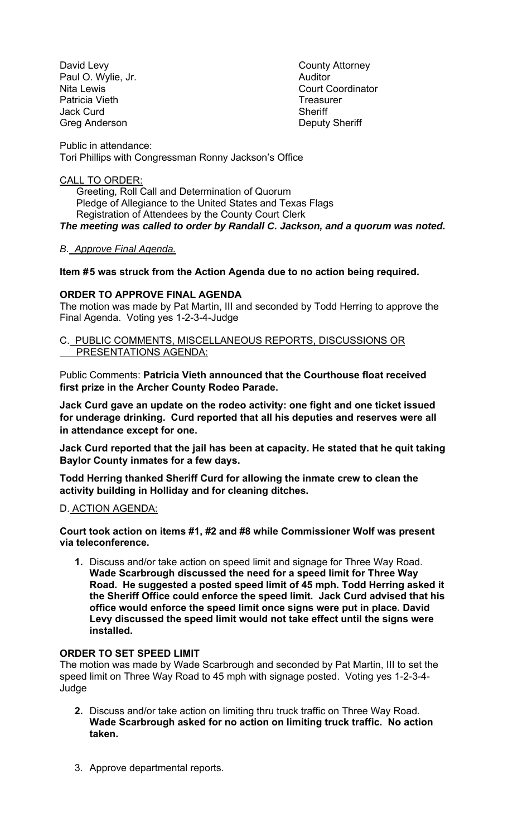David Levy **County Attorney** Paul O. Wylie, Jr. **Auditor** Patricia Vieth **Treasurer** Treasurer Jack Curd **Sheriff** Greg Anderson Deputy Sheriff

Nita Lewis **Nita Lewis** Court Coordinator

Public in attendance: Tori Phillips with Congressman Ronny Jackson's Office

#### CALL TO ORDER:

 Greeting, Roll Call and Determination of Quorum Pledge of Allegiance to the United States and Texas Flags Registration of Attendees by the County Court Clerk *The meeting was called to order by Randall C. Jackson, and a quorum was noted.* 

# *B. Approve Final Agenda.*

## **Item # 5 was struck from the Action Agenda due to no action being required.**

## **ORDER TO APPROVE FINAL AGENDA**

The motion was made by Pat Martin, III and seconded by Todd Herring to approve the Final Agenda. Voting yes 1-2-3-4-Judge

#### C. PUBLIC COMMENTS, MISCELLANEOUS REPORTS, DISCUSSIONS OR PRESENTATIONS AGENDA:

Public Comments: **Patricia Vieth announced that the Courthouse float received first prize in the Archer County Rodeo Parade.** 

**Jack Curd gave an update on the rodeo activity: one fight and one ticket issued for underage drinking. Curd reported that all his deputies and reserves were all in attendance except for one.** 

**Jack Curd reported that the jail has been at capacity. He stated that he quit taking Baylor County inmates for a few days.** 

**Todd Herring thanked Sheriff Curd for allowing the inmate crew to clean the activity building in Holliday and for cleaning ditches.** 

## D. ACTION AGENDA:

**Court took action on items #1, #2 and #8 while Commissioner Wolf was present via teleconference.** 

**1.** Discuss and/or take action on speed limit and signage for Three Way Road. **Wade Scarbrough discussed the need for a speed limit for Three Way Road. He suggested a posted speed limit of 45 mph. Todd Herring asked it the Sheriff Office could enforce the speed limit. Jack Curd advised that his office would enforce the speed limit once signs were put in place. David Levy discussed the speed limit would not take effect until the signs were installed.** 

## **ORDER TO SET SPEED LIMIT**

The motion was made by Wade Scarbrough and seconded by Pat Martin, III to set the speed limit on Three Way Road to 45 mph with signage posted. Voting yes 1-2-3-4- Judge

- **2.** Discuss and/or take action on limiting thru truck traffic on Three Way Road. **Wade Scarbrough asked for no action on limiting truck traffic. No action taken.**
- 3. Approve departmental reports.